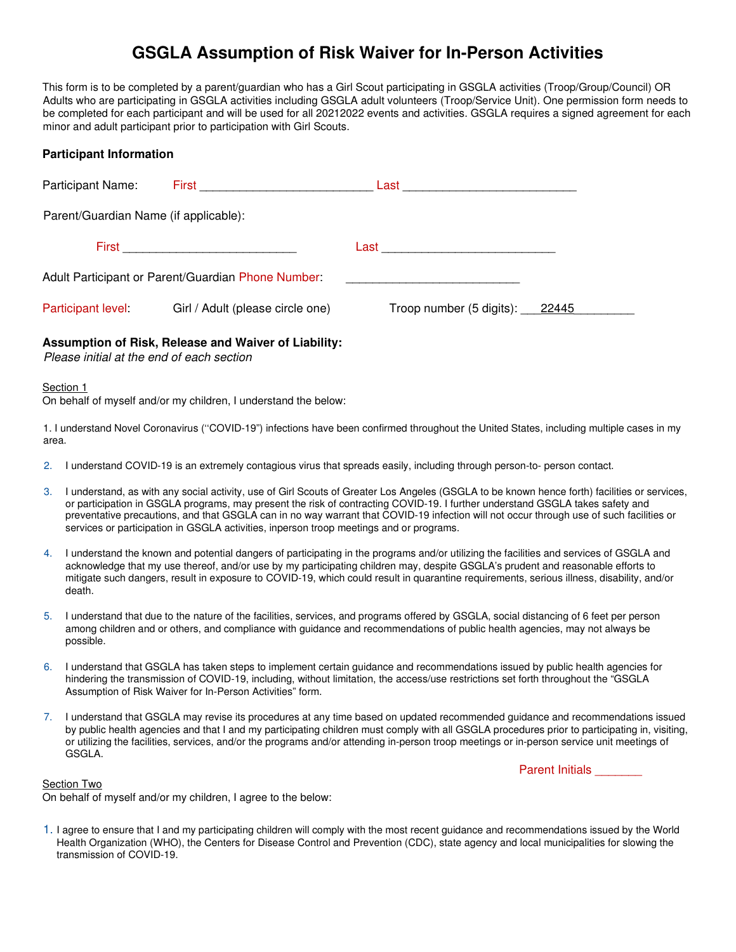# **GSGLA Assumption of Risk Waiver for In-Person Activities**

This form is to be completed by a parent/guardian who has a Girl Scout participating in GSGLA activities (Troop/Group/Council) OR Adults who are participating in GSGLA activities including GSGLA adult volunteers (Troop/Service Unit). One permission form needs to be completed for each participant and will be used for all 20212022 events and activities. GSGLA requires a signed agreement for each minor and adult participant prior to participation with Girl Scouts.

## **Participant Information**

| Participant Name:                                  | <b>First</b> Production of the contract of the contract of the contract of the contract of the contract of the contract of the contract of the contract of the contract of the contract of the contract of the contract of the cont | Last _____________________________ |  |
|----------------------------------------------------|-------------------------------------------------------------------------------------------------------------------------------------------------------------------------------------------------------------------------------------|------------------------------------|--|
| Parent/Guardian Name (if applicable):              |                                                                                                                                                                                                                                     |                                    |  |
|                                                    |                                                                                                                                                                                                                                     | Last                               |  |
| Adult Participant or Parent/Guardian Phone Number: |                                                                                                                                                                                                                                     |                                    |  |
| Participant level:                                 | Girl / Adult (please circle one)                                                                                                                                                                                                    | Troop number (5 digits): 22445     |  |

## **Assumption of Risk, Release and Waiver of Liability:**

Please initial at the end of each section

#### Section 1

On behalf of myself and/or my children, I understand the below:

1. I understand Novel Coronavirus (''COVID-19") infections have been confirmed throughout the United States, including multiple cases in my area.

- 2. I understand COVID-19 is an extremely contagious virus that spreads easily, including through person-to- person contact.
- 3. I understand, as with any social activity, use of Girl Scouts of Greater Los Angeles (GSGLA to be known hence forth) facilities or services, or participation in GSGLA programs, may present the risk of contracting COVID-19. I further understand GSGLA takes safety and preventative precautions, and that GSGLA can in no way warrant that COVID-19 infection will not occur through use of such facilities or services or participation in GSGLA activities, inperson troop meetings and or programs.
- 4. I understand the known and potential dangers of participating in the programs and/or utilizing the facilities and services of GSGLA and acknowledge that my use thereof, and/or use by my participating children may, despite GSGLA's prudent and reasonable efforts to mitigate such dangers, result in exposure to COVID-19, which could result in quarantine requirements, serious illness, disability, and/or death.
- 5. I understand that due to the nature of the facilities, services, and programs offered by GSGLA, social distancing of 6 feet per person among children and or others, and compliance with guidance and recommendations of public health agencies, may not always be possible.
- 6. I understand that GSGLA has taken steps to implement certain guidance and recommendations issued by public health agencies for hindering the transmission of COVID-19, including, without limitation, the access/use restrictions set forth throughout the "GSGLA Assumption of Risk Waiver for In-Person Activities" form.
- 7. I understand that GSGLA may revise its procedures at any time based on updated recommended guidance and recommendations issued by public health agencies and that I and my participating children must comply with all GSGLA procedures prior to participating in, visiting, or utilizing the facilities, services, and/or the programs and/or attending in-person troop meetings or in-person service unit meetings of GSGLA.

Parent Initials

#### Section Two

On behalf of myself and/or my children, I agree to the below:

1. I agree to ensure that I and my participating children will comply with the most recent guidance and recommendations issued by the World Health Organization (WHO), the Centers for Disease Control and Prevention (CDC), state agency and local municipalities for slowing the transmission of COVID-19.